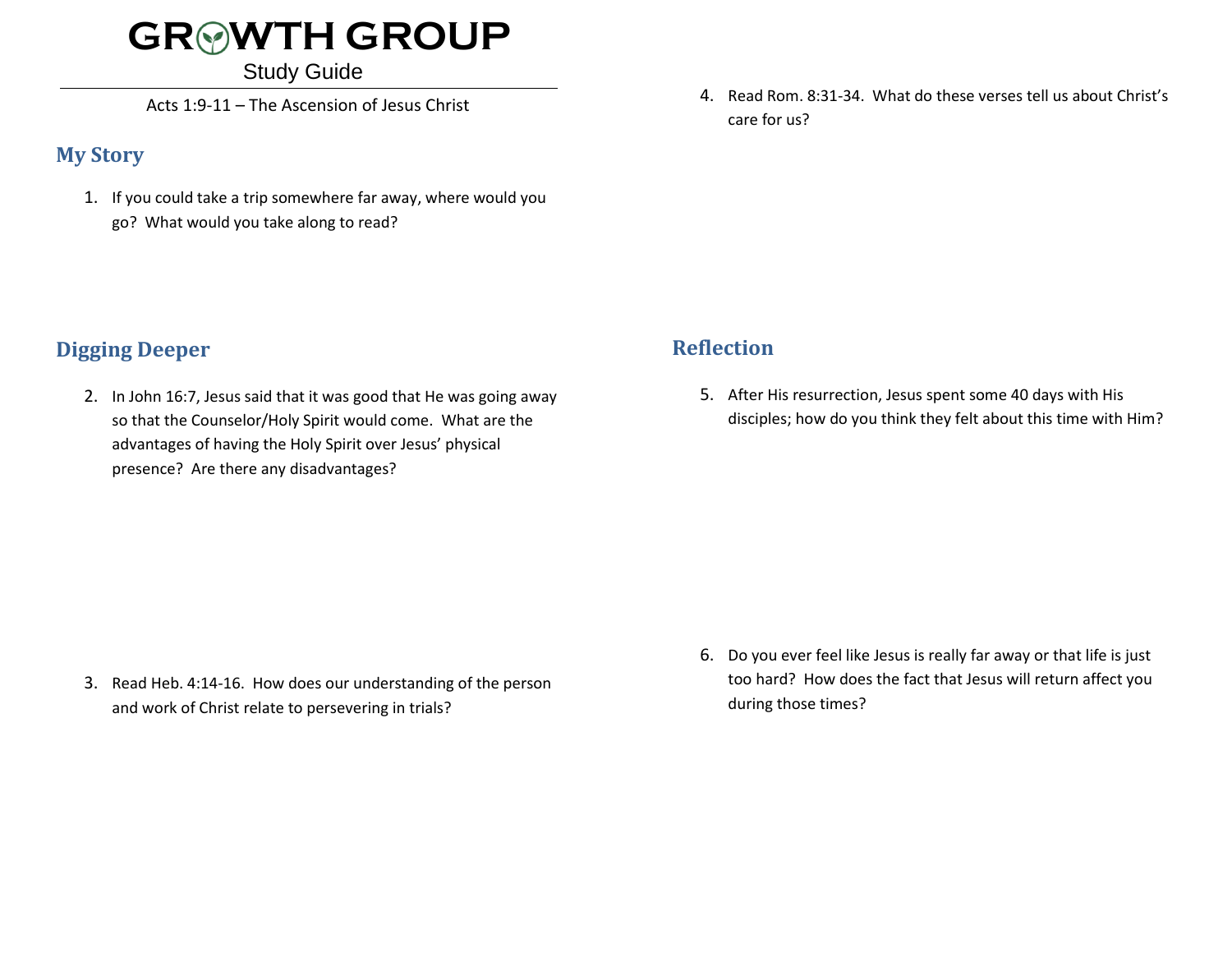# **GR WTH GROUP**

Study Guide

Acts 1:9-11 – The Ascension of Jesus Christ

#### **My Story**

1. If you could take a trip somewhere far away, where would you go? What would you take along to read?

4. Read Rom. 8:31-34. What do these verses tell us about Christ's care for us?

## **Digging Deeper**

2. In John 16:7, Jesus said that it was good that He was going away so that the Counselor/Holy Spirit would come. What are the advantages of having the Holy Spirit over Jesus' physical presence? Are there any disadvantages?

### **Reflection**

5. After His resurrection, Jesus spent some 40 days with His disciples; how do you think they felt about this time with Him?

3. Read Heb. 4:14-16. How does our understanding of the person and work of Christ relate to persevering in trials?

6. Do you ever feel like Jesus is really far away or that life is just too hard? How does the fact that Jesus will return affect you during those times?